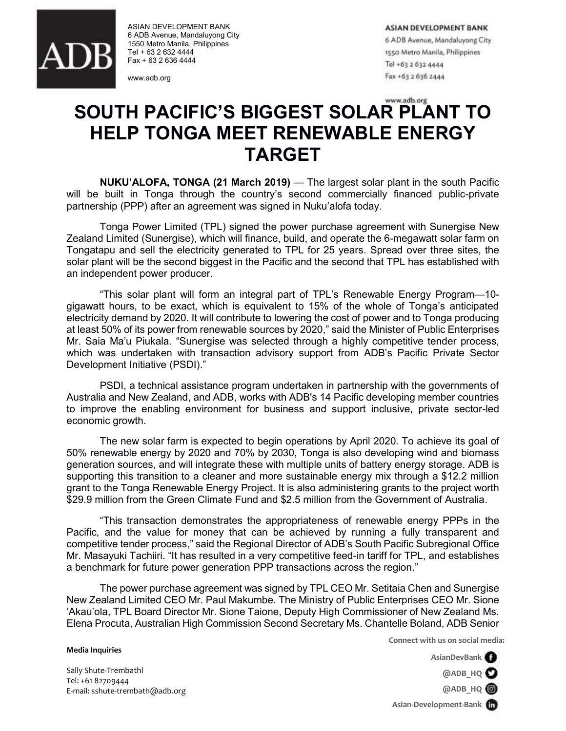

ASIAN DEVELOPMENT BANK 6 ADB Avenue, Mandaluyong City 1550 Metro Manila, Philippines Tel + 63 2 632 4444 Fax + 63 2 636 4444

www.adb.org

**ASIAN DEVELOPMENT BANK** 6 ADB Avenue, Mandaluyong City 1550 Metro Manila, Philippines

Tel +63 2 632 4444 Fax +63 2 636 2444

## www.adb.org **SOUTH PACIFIC'S BIGGEST SOLAR PLANT TO HELP TONGA MEET RENEWABLE ENERGY TARGET**

**NUKU'ALOFA, TONGA (21 March 2019)** — The largest solar plant in the south Pacific will be built in Tonga through the country's second commercially financed public-private partnership (PPP) after an agreement was signed in Nuku'alofa today.

Tonga Power Limited (TPL) signed the power purchase agreement with Sunergise New Zealand Limited (Sunergise), which will finance, build, and operate the 6-megawatt solar farm on Tongatapu and sell the electricity generated to TPL for 25 years. Spread over three sites, the solar plant will be the second biggest in the Pacific and the second that TPL has established with an independent power producer.

"This solar plant will form an integral part of TPL's Renewable Energy Program—10 gigawatt hours, to be exact, which is equivalent to 15% of the whole of Tonga's anticipated electricity demand by 2020. It will contribute to lowering the cost of power and to Tonga producing at least 50% of its power from renewable sources by 2020," said the Minister of Public Enterprises Mr. Saia Ma'u Piukala. "Sunergise was selected through a highly competitive tender process, which was undertaken with transaction advisory support from ADB's Pacific Private Sector Development Initiative (PSDI)."

PSDI, a technical assistance program undertaken in partnership with the governments of Australia and New Zealand, and ADB, works with ADB's 14 Pacific developing member countries to improve the enabling environment for business and support inclusive, private sector-led economic growth.

The new solar farm is expected to begin operations by April 2020. To achieve its goal of 50% renewable energy by 2020 and 70% by 2030, Tonga is also developing wind and biomass generation sources, and will integrate these with multiple units of battery energy storage. ADB is supporting this transition to a cleaner and more sustainable energy mix through a \$12.2 million grant to the Tonga Renewable Energy Project. It is also administering grants to the project worth \$29.9 million from the Green Climate Fund and \$2.5 million from the Government of Australia.

"This transaction demonstrates the appropriateness of renewable energy PPPs in the Pacific, and the value for money that can be achieved by running a fully transparent and competitive tender process," said the Regional Director of ADB's South Pacific Subregional Office Mr. Masayuki Tachiiri. "It has resulted in a very competitive feed-in tariff for TPL, and establishes a benchmark for future power generation PPP transactions across the region."

The power purchase agreement was signed by TPL CEO Mr. Setitaia Chen and Sunergise New Zealand Limited CEO Mr. Paul Makumbe. The Ministry of Public Enterprises CEO Mr. Sione 'Akau'ola, TPL Board Director Mr. Sione Taione, Deputy High Commissioner of New Zealand Ms. Elena Procuta, Australian High Commission Second Secretary Ms. Chantelle Boland, ADB Senior

**Connect with us on social media:**

**AsianDevBank @ADB\_HQ**

Sally Shute-Trembathl Tel: +61 82709444 E-mail: sshute-trembath@adb.org

**Media Inquiries**

**@ADB\_HQ**